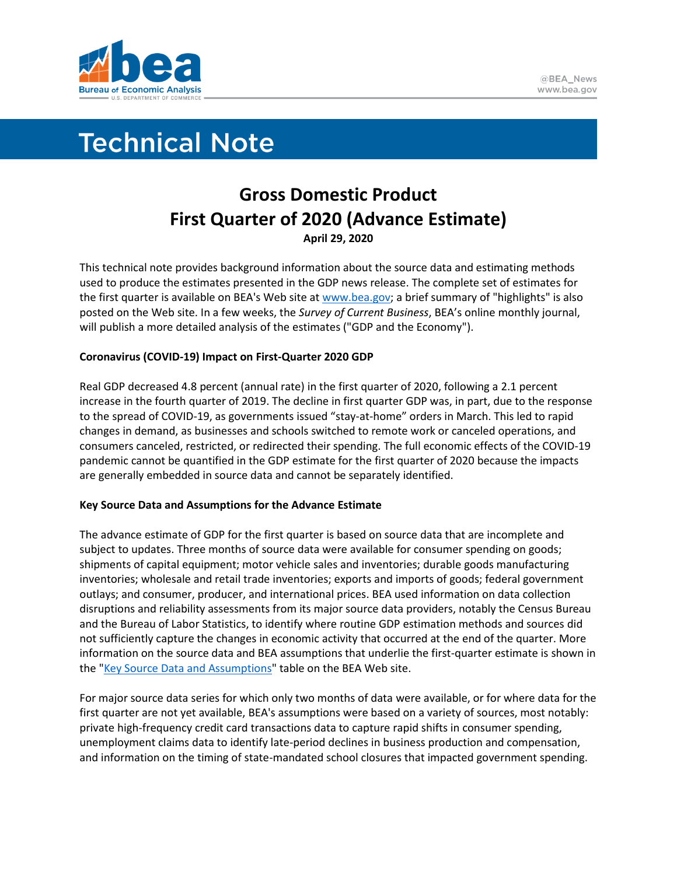

# **Technical Note**

# **Gross Domestic Product First Quarter of 2020 (Advance Estimate) April 29, 2020**

This technical note provides background information about the source data and estimating methods used to produce the estimates presented in the GDP news release. The complete set of estimates for the first quarter is available on BEA's Web site a[t www.bea.gov;](http://www.bea.gov/) a brief summary of "highlights" is also posted on the Web site. In a few weeks, the *Survey of Current Business*, BEA's online monthly journal, will publish a more detailed analysis of the estimates ("GDP and the Economy").

## **Coronavirus (COVID-19) Impact on First-Quarter 2020 GDP**

Real GDP decreased 4.8 percent (annual rate) in the first quarter of 2020, following a 2.1 percent increase in the fourth quarter of 2019. The decline in first quarter GDP was, in part, due to the response to the spread of COVID-19, as governments issued "stay-at-home" orders in March. This led to rapid changes in demand, as businesses and schools switched to remote work or canceled operations, and consumers canceled, restricted, or redirected their spending. The full economic effects of the COVID-19 pandemic cannot be quantified in the GDP estimate for the first quarter of 2020 because the impacts are generally embedded in source data and cannot be separately identified.

## **Key Source Data and Assumptions for the Advance Estimate**

The advance estimate of GDP for the first quarter is based on source data that are incomplete and subject to updates. Three months of source data were available for consumer spending on goods; shipments of capital equipment; motor vehicle sales and inventories; durable goods manufacturing inventories; wholesale and retail trade inventories; exports and imports of goods; federal government outlays; and consumer, producer, and international prices. BEA used information on data collection disruptions and reliability assessments from its major source data providers, notably the Census Bureau and the Bureau of Labor Statistics, to identify where routine GDP estimation methods and sources did not sufficiently capture the changes in economic activity that occurred at the end of the quarter. More information on the source data and BEA assumptions that underlie the first-quarter estimate is shown in the ["Key Source Data and Assumptions"](https://www.bea.gov/system/files/2020-04/GDPKeySource_1q20_04-30-20.xlsx) table on the BEA Web site.

For major source data series for which only two months of data were available, or for where data for the first quarter are not yet available, BEA's assumptions were based on a variety of sources, most notably: private high-frequency credit card transactions data to capture rapid shifts in consumer spending, unemployment claims data to identify late-period declines in business production and compensation, and information on the timing of state-mandated school closures that impacted government spending.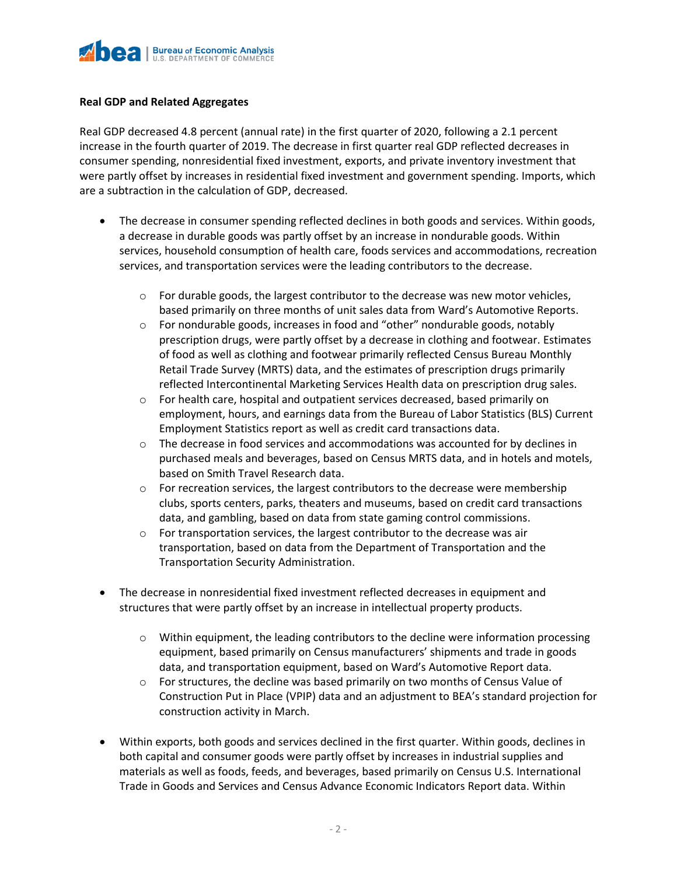

#### **Real GDP and Related Aggregates**

Real GDP decreased 4.8 percent (annual rate) in the first quarter of 2020, following a 2.1 percent increase in the fourth quarter of 2019. The decrease in first quarter real GDP reflected decreases in consumer spending, nonresidential fixed investment, exports, and private inventory investment that were partly offset by increases in residential fixed investment and government spending. Imports, which are a subtraction in the calculation of GDP, decreased.

- The decrease in consumer spending reflected declines in both goods and services. Within goods, a decrease in durable goods was partly offset by an increase in nondurable goods. Within services, household consumption of health care, foods services and accommodations, recreation services, and transportation services were the leading contributors to the decrease.
	- $\circ$  For durable goods, the largest contributor to the decrease was new motor vehicles, based primarily on three months of unit sales data from Ward's Automotive Reports.
	- $\circ$  For nondurable goods, increases in food and "other" nondurable goods, notably prescription drugs, were partly offset by a decrease in clothing and footwear. Estimates of food as well as clothing and footwear primarily reflected Census Bureau Monthly Retail Trade Survey (MRTS) data, and the estimates of prescription drugs primarily reflected Intercontinental Marketing Services Health data on prescription drug sales.
	- $\circ$  For health care, hospital and outpatient services decreased, based primarily on employment, hours, and earnings data from the Bureau of Labor Statistics (BLS) Current Employment Statistics report as well as credit card transactions data.
	- $\circ$  The decrease in food services and accommodations was accounted for by declines in purchased meals and beverages, based on Census MRTS data, and in hotels and motels, based on Smith Travel Research data.
	- $\circ$  For recreation services, the largest contributors to the decrease were membership clubs, sports centers, parks, theaters and museums, based on credit card transactions data, and gambling, based on data from state gaming control commissions.
	- $\circ$  For transportation services, the largest contributor to the decrease was air transportation, based on data from the Department of Transportation and the Transportation Security Administration.
- The decrease in nonresidential fixed investment reflected decreases in equipment and structures that were partly offset by an increase in intellectual property products.
	- o Within equipment, the leading contributors to the decline were information processing equipment, based primarily on Census manufacturers' shipments and trade in goods data, and transportation equipment, based on Ward's Automotive Report data.
	- $\circ$  For structures, the decline was based primarily on two months of Census Value of Construction Put in Place (VPIP) data and an adjustment to BEA's standard projection for construction activity in March.
- Within exports, both goods and services declined in the first quarter. Within goods, declines in both capital and consumer goods were partly offset by increases in industrial supplies and materials as well as foods, feeds, and beverages, based primarily on Census U.S. International Trade in Goods and Services and Census Advance Economic Indicators Report data. Within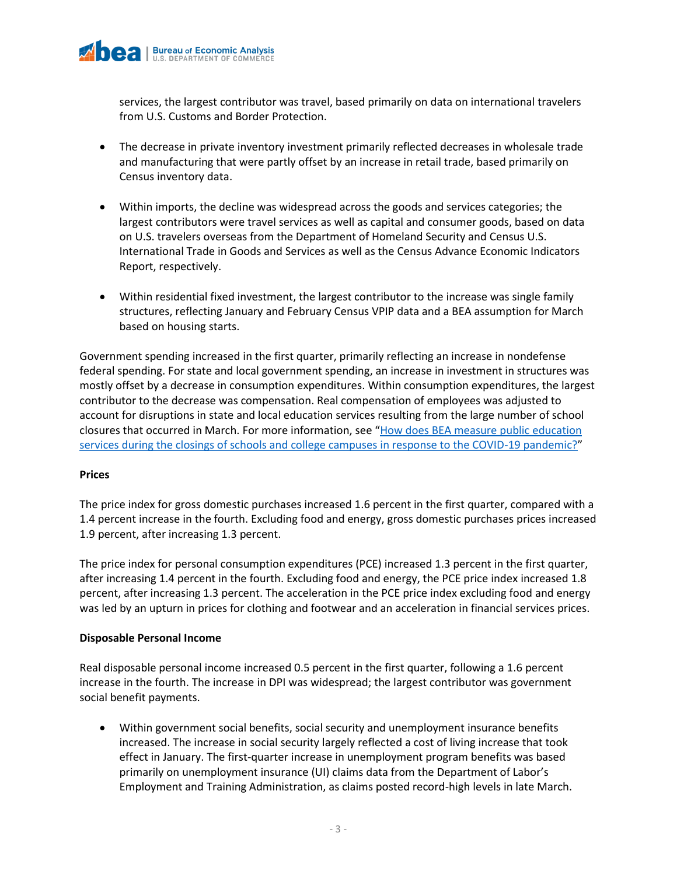

services, the largest contributor was travel, based primarily on data on international travelers from U.S. Customs and Border Protection.

- The decrease in private inventory investment primarily reflected decreases in wholesale trade and manufacturing that were partly offset by an increase in retail trade, based primarily on Census inventory data.
- Within imports, the decline was widespread across the goods and services categories; the largest contributors were travel services as well as capital and consumer goods, based on data on U.S. travelers overseas from the Department of Homeland Security and Census U.S. International Trade in Goods and Services as well as the Census Advance Economic Indicators Report, respectively.
- Within residential fixed investment, the largest contributor to the increase was single family structures, reflecting January and February Census VPIP data and a BEA assumption for March based on housing starts.

Government spending increased in the first quarter, primarily reflecting an increase in nondefense federal spending. For state and local government spending, an increase in investment in structures was mostly offset by a decrease in consumption expenditures. Within consumption expenditures, the largest contributor to the decrease was compensation. Real compensation of employees was adjusted to account for disruptions in state and local education services resulting from the large number of school closures that occurred in March. For more information, see "[How does BEA measure public education](https://www.bea.gov/help/faq/1410)  [services during the closings of schools and college campuses in response to the COVID-19 pandemic?](https://www.bea.gov/help/faq/1410)"

#### **Prices**

The price index for gross domestic purchases increased 1.6 percent in the first quarter, compared with a 1.4 percent increase in the fourth. Excluding food and energy, gross domestic purchases prices increased 1.9 percent, after increasing 1.3 percent.

The price index for personal consumption expenditures (PCE) increased 1.3 percent in the first quarter, after increasing 1.4 percent in the fourth. Excluding food and energy, the PCE price index increased 1.8 percent, after increasing 1.3 percent. The acceleration in the PCE price index excluding food and energy was led by an upturn in prices for clothing and footwear and an acceleration in financial services prices.

#### **Disposable Personal Income**

Real disposable personal income increased 0.5 percent in the first quarter, following a 1.6 percent increase in the fourth. The increase in DPI was widespread; the largest contributor was government social benefit payments.

• Within government social benefits, social security and unemployment insurance benefits increased. The increase in social security largely reflected a cost of living increase that took effect in January. The first-quarter increase in unemployment program benefits was based primarily on unemployment insurance (UI) claims data from the Department of Labor's Employment and Training Administration, as claims posted record-high levels in late March.